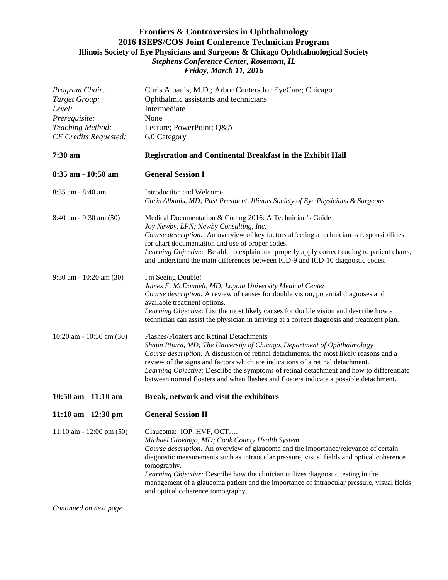## **Frontiers & Controversies in Ophthalmology 2016 ISEPS/COS Joint Conference Technician Program Illinois Society of Eye Physicians and Surgeons & Chicago Ophthalmological Society** *Stephens Conference Center, Rosemont, IL Friday, March 11, 2016*

| Program Chair:<br>Target Group: | Chris Albanis, M.D.; Arbor Centers for EyeCare; Chicago<br>Ophthalmic assistants and technicians                                                                                                                                                                              |
|---------------------------------|-------------------------------------------------------------------------------------------------------------------------------------------------------------------------------------------------------------------------------------------------------------------------------|
| Level:                          | Intermediate                                                                                                                                                                                                                                                                  |
| Prerequisite:                   | None                                                                                                                                                                                                                                                                          |
| Teaching Method:                | Lecture; PowerPoint; Q&A                                                                                                                                                                                                                                                      |
| <b>CE Credits Requested:</b>    | 6.0 Category                                                                                                                                                                                                                                                                  |
| 7:30 am                         | <b>Registration and Continental Breakfast in the Exhibit Hall</b>                                                                                                                                                                                                             |
| 8:35 am - 10:50 am              | <b>General Session I</b>                                                                                                                                                                                                                                                      |
| 8:35 am - 8:40 am               | Introduction and Welcome<br>Chris Albanis, MD; Past President, Illinois Society of Eye Physicians & Surgeons                                                                                                                                                                  |
| $8:40$ am - 9:30 am $(50)$      | Medical Documentation & Coding 2016: A Technician's Guide<br>Joy Newby, LPN; Newby Consulting, Inc.                                                                                                                                                                           |
|                                 | Course description: An overview of key factors affecting a technician=s responsibilities<br>for chart documentation and use of proper codes.                                                                                                                                  |
|                                 | Learning Objective: Be able to explain and properly apply correct coding to patient charts,<br>and understand the main differences between ICD-9 and ICD-10 diagnostic codes.                                                                                                 |
| $9:30$ am - 10:20 am (30)       | I'm Seeing Double!<br>James F. McDonnell, MD; Loyola University Medical Center                                                                                                                                                                                                |
|                                 | Course description: A review of causes for double vision, potential diagnoses and<br>available treatment options.                                                                                                                                                             |
|                                 | Learning Objective: List the most likely causes for double vision and describe how a<br>technician can assist the physician in arriving at a correct diagnosis and treatment plan.                                                                                            |
| 10:20 am - 10:50 am (30)        | Flashes/Floaters and Retinal Detachments<br>Shaun Ittiara, MD; The University of Chicago, Department of Ophthalmology                                                                                                                                                         |
|                                 | Course description: A discussion of retinal detachments, the most likely reasons and a                                                                                                                                                                                        |
|                                 | review of the signs and factors which are indications of a retinal detachment.<br>Learning Objective: Describe the symptoms of retinal detachment and how to differentiate<br>between normal floaters and when flashes and floaters indicate a possible detachment.           |
| 10:50 am - 11:10 am             | Break, network and visit the exhibitors                                                                                                                                                                                                                                       |
| 11:10 am - 12:30 pm             | <b>General Session II</b>                                                                                                                                                                                                                                                     |
| $11:10$ am - 12:00 pm (50)      | Glaucoma: IOP, HVF, OCT<br>Michael Giovingo, MD; Cook County Health System<br>Course description: An overview of glaucoma and the importance/relevance of certain<br>diagnostic measurements such as intraocular pressure, visual fields and optical coherence<br>tomography. |
|                                 | Learning Objective: Describe how the clinician utilizes diagnostic testing in the<br>management of a glaucoma patient and the importance of intraocular pressure, visual fields<br>and optical coherence tomography.                                                          |

*Continued on next page*